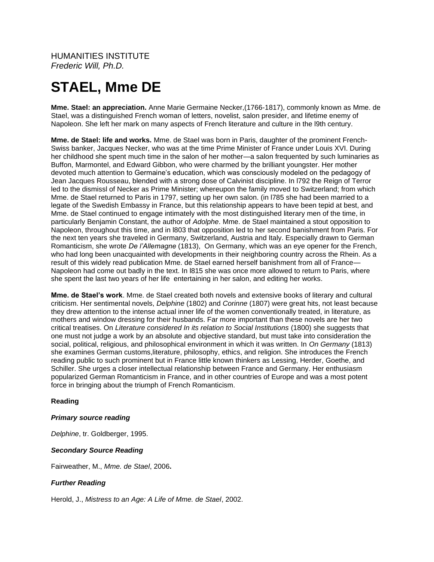HUMANITIES INSTITUTE *Frederic Will, Ph.D.*

# **STAEL, Mme DE**

**Mme. Stael: an appreciation.** Anne Marie Germaine Necker,(1766-1817), commonly known as Mme. de Stael, was a distinguished French woman of letters, novelist, salon presider, and lifetime enemy of Napoleon. She left her mark on many aspects of French literature and culture in the l9th century.

**Mme. de Stael: life and works.** Mme. de Stael was born in Paris, daughter of the prominent French-Swiss banker, Jacques Necker, who was at the time Prime Minister of France under Louis XVI. During her childhood she spent much time in the salon of her mother—a salon frequented by such luminaries as Buffon, Marmontel, and Edward Gibbon, who were charmed by the brilliant youngster. Her mother devoted much attention to Germaine's education, which was consciously modeled on the pedagogy of Jean Jacques Rousseau, blended with a strong dose of Calvinist discipline. In l792 the Reign of Terror led to the dismissl of Necker as Prime Minister; whereupon the family moved to Switzerland; from which Mme. de Stael returned to Paris in 1797, setting up her own salon. (in l785 she had been married to a legate of the Swedish Embassy in France, but this relationship appears to have been tepid at best, and Mme. de Stael continued to engage intimately with the most distinguished literary men of the time, in particularly Benjamin Constant, the author of *Adolphe*. Mme. de Stael maintained a stout opposition to Napoleon, throughout this time, and in l803 that opposition led to her second banishment from Paris. For the next ten years she traveled in Germany, Switzerland, Austria and Italy. Especially drawn to German Romanticism, she wrote *De l'Allemagne* (1813), On Germany, which was an eye opener for the French, who had long been unacquainted with developments in their neighboring country across the Rhein. As a result of this widely read publication Mme. de Stael earned herself banishment from all of France— Napoleon had come out badly in the text. In l815 she was once more allowed to return to Paris, where she spent the last two years of her life entertaining in her salon, and editing her works.

**Mme. de Stael's work**. Mme. de Stael created both novels and extensive books of literary and cultural criticism. Her sentimental novels, *Delphine* (1802) and *Corinne* (1807) were great hits, not least because they drew attention to the intense actual inner life of the women conventionally treated, in literature, as mothers and window dressing for their husbands. Far more important than these novels are her two critical treatises. On *Literature considered In its relation to Social Institutions* (1800) she suggests that one must not judge a work by an absolute and objective standard, but must take into consideration the social, political, religious, and philosophical environment in which it was written. In *On Germany* (1813) she examines German customs,literature, philosophy, ethics, and religion. She introduces the French reading public to such prominent but in France little known thinkers as Lessing, Herder, Goethe, and Schiller. She urges a closer intellectual relationship between France and Germany. Her enthusiasm popularized German Romanticism in France, and in other countries of Europe and was a most potent force in bringing about the triumph of French Romanticism.

## **Reading**

## *Primary source reading*

*Delphine*, tr. Goldberger, 1995.

## *Secondary Source Reading*

Fairweather, M., *Mme. de Stael*, 2006**.**

## *Further Reading*

Herold, J., *Mistress to an Age: A Life of Mme. de Stael*, 2002.